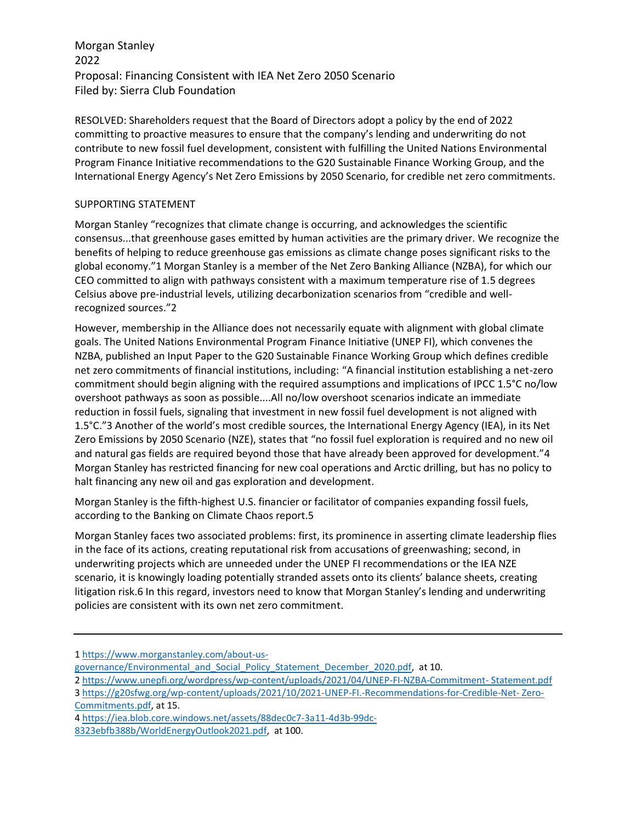Morgan Stanley 2022 Proposal: Financing Consistent with IEA Net Zero 2050 Scenario Filed by: Sierra Club Foundation

RESOLVED: Shareholders request that the Board of Directors adopt a policy by the end of 2022 committing to proactive measures to ensure that the company's lending and underwriting do not contribute to new fossil fuel development, consistent with fulfilling the United Nations Environmental Program Finance Initiative recommendations to the G20 Sustainable Finance Working Group, and the International Energy Agency's Net Zero Emissions by 2050 Scenario, for credible net zero commitments.

## SUPPORTING STATEMENT

Morgan Stanley "recognizes that climate change is occurring, and acknowledges the scientific consensus...that greenhouse gases emitted by human activities are the primary driver. We recognize the benefits of helping to reduce greenhouse gas emissions as climate change poses significant risks to the global economy."1 Morgan Stanley is a member of the Net Zero Banking Alliance (NZBA), for which our CEO committed to align with pathways consistent with a maximum temperature rise of 1.5 degrees Celsius above pre-industrial levels, utilizing decarbonization scenarios from "credible and wellrecognized sources."2

However, membership in the Alliance does not necessarily equate with alignment with global climate goals. The United Nations Environmental Program Finance Initiative (UNEP FI), which convenes the NZBA, published an Input Paper to the G20 Sustainable Finance Working Group which defines credible net zero commitments of financial institutions, including: "A financial institution establishing a net-zero commitment should begin aligning with the required assumptions and implications of IPCC 1.5°C no/low overshoot pathways as soon as possible....All no/low overshoot scenarios indicate an immediate reduction in fossil fuels, signaling that investment in new fossil fuel development is not aligned with 1.5°C."3 Another of the world's most credible sources, the International Energy Agency (IEA), in its Net Zero Emissions by 2050 Scenario (NZE), states that "no fossil fuel exploration is required and no new oil and natural gas fields are required beyond those that have already been approved for development."4 Morgan Stanley has restricted financing for new coal operations and Arctic drilling, but has no policy to halt financing any new oil and gas exploration and development.

Morgan Stanley is the fifth-highest U.S. financier or facilitator of companies expanding fossil fuels, according to the Banking on Climate Chaos report.5

Morgan Stanley faces two associated problems: first, its prominence in asserting climate leadership flies in the face of its actions, creating reputational risk from accusations of greenwashing; second, in underwriting projects which are unneeded under the UNEP FI recommendations or the IEA NZE scenario, it is knowingly loading potentially stranded assets onto its clients' balance sheets, creating litigation risk.6 In this regard, investors need to know that Morgan Stanley's lending and underwriting policies are consistent with its own net zero commitment.

[Commitments.pdf,](https://g20sfwg.org/wp-content/uploads/2021/10/2021-UNEP-FI.-Recommendations-for-Credible-Net-%20Zero-Commitments.pdf) at 15.

[<sup>1</sup> https://www.morganstanley.com/about-us-](https://www.morganstanley.com/about-us-%20governance/Environmental_and_Social_Policy_Statement_December_2020.pdf)

[governance/Environmental\\_and\\_Social\\_Policy\\_Statement\\_December\\_2020.pdf,](https://www.morganstanley.com/about-us-%20governance/Environmental_and_Social_Policy_Statement_December_2020.pdf) at 10.

[<sup>2</sup> https://www.unepfi.org/wordpress/wp-content/uploads/2021/04/UNEP-FI-NZBA-Commitment-](https://www.unepfi.org/wordpress/wp-content/uploads/2021/04/UNEP-FI-NZBA-Commitment-%20Statement.pdf) Statement.pdf [3 https://g20sfwg.org/wp-content/uploads/2021/10/2021-UNEP-FI.-Recommendations-for-Credible-Net-](https://g20sfwg.org/wp-content/uploads/2021/10/2021-UNEP-FI.-Recommendations-for-Credible-Net-%20Zero-Commitments.pdf) Zero-

[<sup>4</sup> https://iea.blob.core.windows.net/assets/88dec0c7-3a11-4d3b-99dc-](https://iea.blob.core.windows.net/assets/88dec0c7-3a11-4d3b-99dc-%208323ebfb388b/WorldEnergyOutlook2021.pdf)[8323ebfb388b/WorldEnergyOutlook2021.pdf,](https://iea.blob.core.windows.net/assets/88dec0c7-3a11-4d3b-99dc-%208323ebfb388b/WorldEnergyOutlook2021.pdf) at 100.